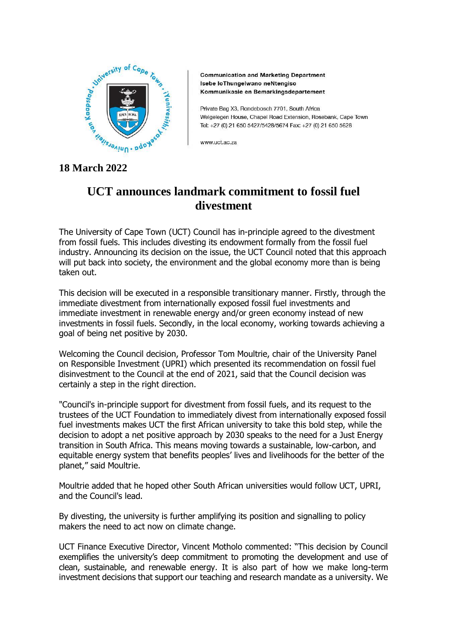

**Communication and Marketing Department** Isebe loThungelwano neNtengiso Kommunikasie en Bemarkingsdepartement

Private Bag X3, Bondebosch 7701, South Africa Welgelegen House, Chapel Road Extension, Rosebank, Cape Town Tel: +27 (0) 21 650 5427/5428/5674 Fax: +27 (0) 21 650 5628

www.uct.ac.za

## **18 March 2022**

## **UCT announces landmark commitment to fossil fuel divestment**

The University of Cape Town (UCT) Council has in-principle agreed to the divestment from fossil fuels. This includes divesting its endowment formally from the fossil fuel industry. Announcing its decision on the issue, the UCT Council noted that this approach will put back into society, the environment and the global economy more than is being taken out.

This decision will be executed in a responsible transitionary manner. Firstly, through the immediate divestment from internationally exposed fossil fuel investments and immediate investment in renewable energy and/or green economy instead of new investments in fossil fuels. Secondly, in the local economy, working towards achieving a goal of being net positive by 2030.

Welcoming the Council decision, Professor Tom Moultrie, chair of the University Panel on Responsible Investment (UPRI) which presented its recommendation on fossil fuel disinvestment to the Council at the end of 2021, said that the Council decision was certainly a step in the right direction.

"Council's in-principle support for divestment from fossil fuels, and its request to the trustees of the UCT Foundation to immediately divest from internationally exposed fossil fuel investments makes UCT the first African university to take this bold step, while the decision to adopt a net positive approach by 2030 speaks to the need for a Just Energy transition in South Africa. This means moving towards a sustainable, low-carbon, and equitable energy system that benefits peoples' lives and livelihoods for the better of the planet," said Moultrie.

Moultrie added that he hoped other South African universities would follow UCT, UPRI, and the Council's lead.

By divesting, the university is further amplifying its position and signalling to policy makers the need to act now on climate change.

UCT Finance Executive Director, Vincent Motholo commented: "This decision by Council exemplifies the university's deep commitment to promoting the development and use of clean, sustainable, and renewable energy. It is also part of how we make long-term investment decisions that support our teaching and research mandate as a university. We